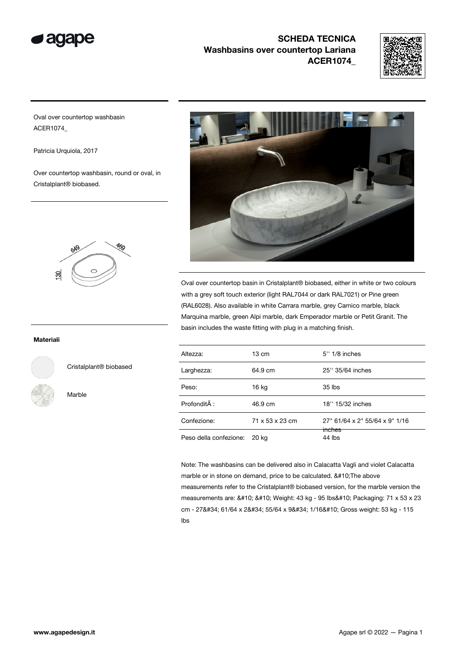



Oval over countertop washbasin ACER1074\_

Patricia Urquiola, 2017

Over countertop washbasin, round or oval, in Cristalplant® biobased.



#### Materiali



Cristalplant® biobased

Marble



Oval over countertop basin in Cristalplant® biobased, either in white or two colours with a grey soft touch exterior (light RAL7044 or dark RAL7021) or Pine green (RAL6028). Also available in white Carrara marble, grey Carnico marble, black Marquina marble, green Alpi marble, dark Emperador marble or Petit Granit. The basin includes the waste fitting with plug in a matching finish.

| Altezza:               | $13 \text{ cm}$ | 5" 1/8 inches                  |
|------------------------|-----------------|--------------------------------|
| Larghezza:             | 64.9 cm         | 25" 35/64 inches               |
| Peso:                  | 16 kg           | $35$ lbs                       |
| Profondità :           | 46.9 cm         | 18" 15/32 inches               |
| Confezione:            | 71 x 53 x 23 cm | 27" 61/64 x 2" 55/64 x 9" 1/16 |
| Peso della confezione: | 20 ka           | inches<br>44 lbs               |

Note: The washbasins can be delivered also in Calacatta Vagli and violet Calacatta marble or in stone on demand, price to be calculated. 
The above measurements refer to the Cristalplant® biobased version, for the marble version the measurements are: 

Weight: 43 kg - 95 lbs
Packaging: 71 x 53 x 23 cm - 27" 61/64 x 2" 55/64 x 9" 1/16
Gross weight: 53 kg - 115 lbs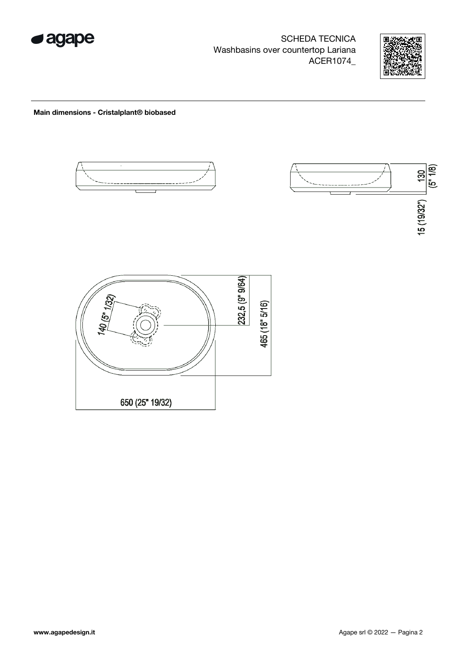



#### Main dimensions - Cristalplant® biobased



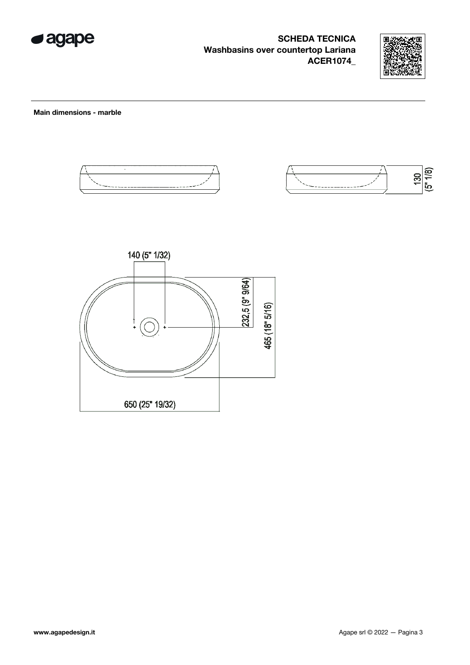



Main dimensions - marble





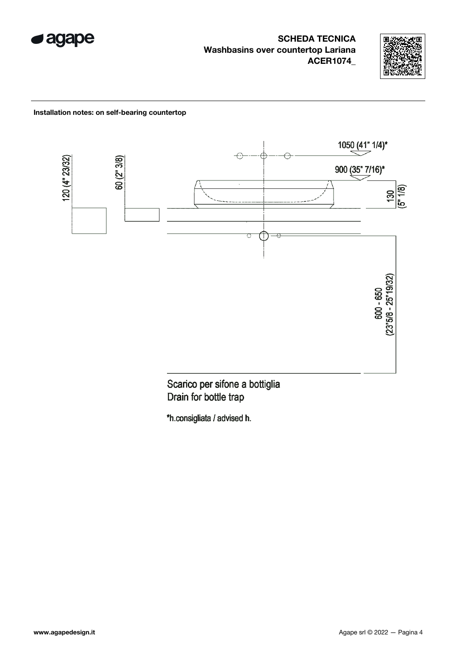



#### Installation notes: on self-bearing countertop



Scarico per sifone a bottiglia Drain for bottle trap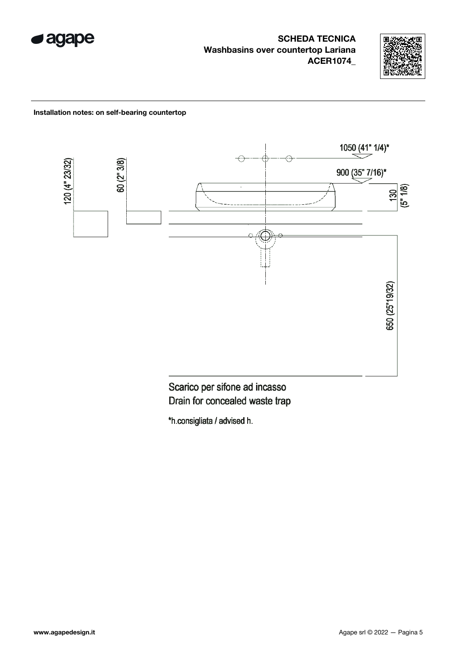



#### Installation notes: on self-bearing countertop



Scarico per sifone ad incasso Drain for concealed waste trap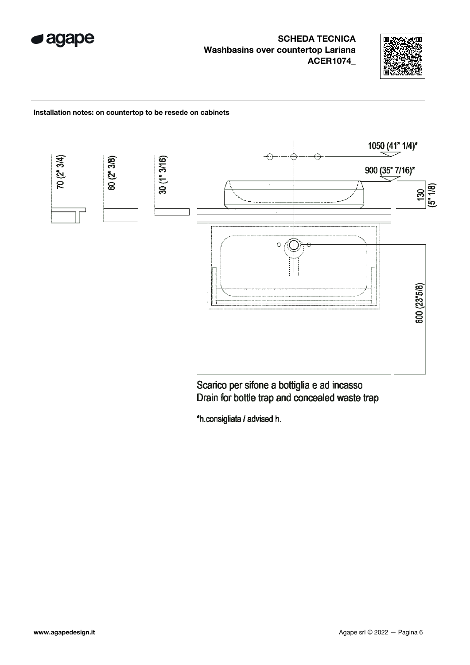



#### Installation notes: on countertop to be resede on cabinets



Scarico per sifone a bottiglia e ad incasso Drain for bottle trap and concealed waste trap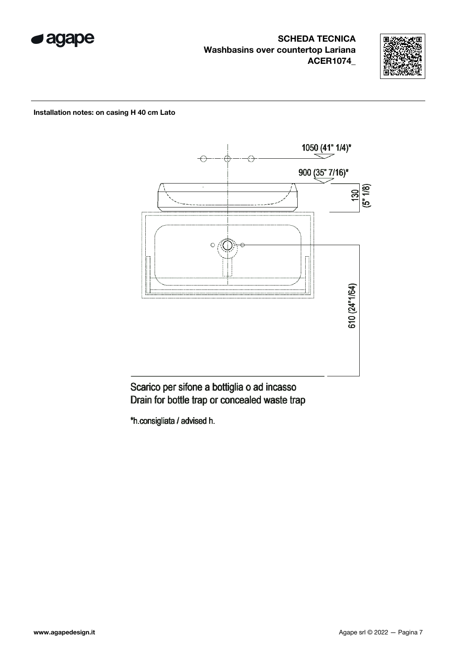



#### Installation notes: on casing H 40 cm Lato



# Scarico per sifone a bottiglia o ad incasso Drain for bottle trap or concealed waste trap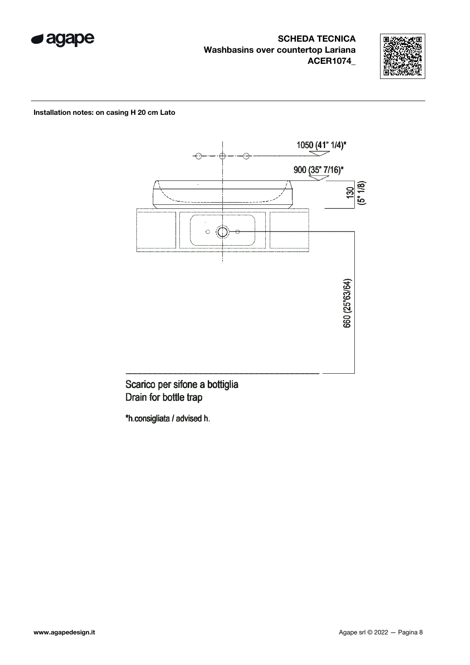



#### Installation notes: on casing H 20 cm Lato



Scarico per sifone a bottiglia Drain for bottle trap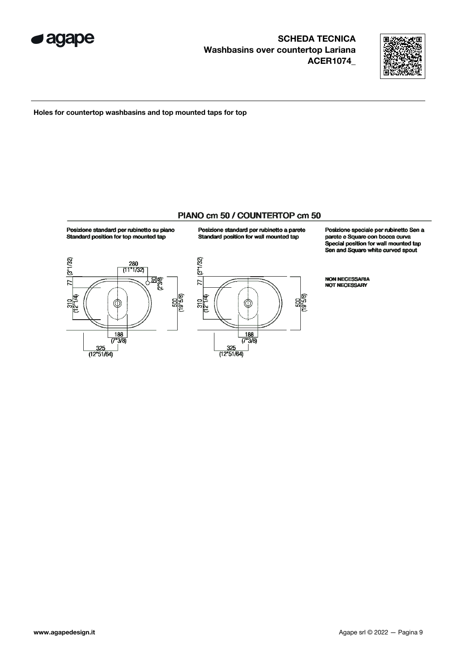



Holes for countertop washbasins and top mounted taps for top

### PIANO cm 50 / COUNTERTOP cm 50

Posizione standard per rubinetto su piano Standard position for top mounted tap



Posizione standard per rubinetto a parete Standard position for wall mounted tap

 $\frac{188}{(7°3/8)}$ 

 $\frac{325}{(12"51/64)}$ 

77 (8"1/32)

310<br>112 14)

Posizione speciale per rubinetto Sen a parete e Square con bocca curva Special position for wall mounted tap Sen and Square white curved spout

**NON NECESSARIA<br>NOT NECESSARY** 

 $\frac{500}{(19^{15}/8)}$